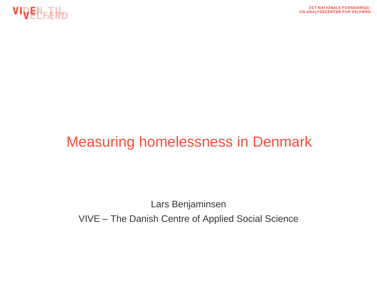



# Measuring homelessness in Denmark

Lars Benjaminsen

VIVE – The Danish Centre of Applied Social Science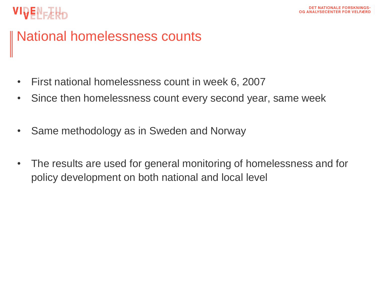#### National homelessness counts

- First national homelessness count in week 6, 2007
- Since then homelessness count every second year, same week
- Same methodology as in Sweden and Norway
- The results are used for general monitoring of homelessness and for policy development on both national and local level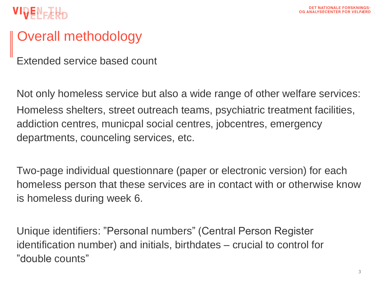### Overall methodology

Extended service based count

Not only homeless service but also a wide range of other welfare services: Homeless shelters, street outreach teams, psychiatric treatment facilities, addiction centres, municpal social centres, jobcentres, emergency departments, counceling services, etc.

Two-page individual questionnare (paper or electronic version) for each homeless person that these services are in contact with or otherwise know is homeless during week 6.

Unique identifiers: "Personal numbers" (Central Person Register identification number) and initials, birthdates – crucial to control for "double counts"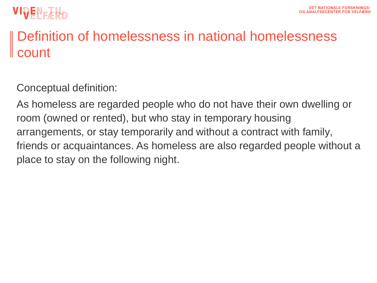

### Definition of homelessness in national homelessness count

Conceptual definition:

As homeless are regarded people who do not have their own dwelling or room (owned or rented), but who stay in temporary housing arrangements, or stay temporarily and without a contract with family, friends or acquaintances. As homeless are also regarded people without a place to stay on the following night.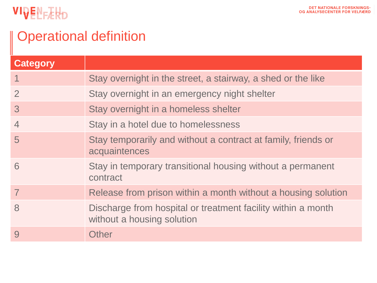

# | Operational definition

| <b>Category</b> |                                                                                            |
|-----------------|--------------------------------------------------------------------------------------------|
|                 | Stay overnight in the street, a stairway, a shed or the like                               |
| $\overline{2}$  | Stay overnight in an emergency night shelter                                               |
| 3               | Stay overnight in a homeless shelter                                                       |
| $\overline{4}$  | Stay in a hotel due to homelessness                                                        |
| 5               | Stay temporarily and without a contract at family, friends or<br>acquaintences             |
| 6               | Stay in temporary transitional housing without a permanent<br>contract                     |
|                 | Release from prison within a month without a housing solution                              |
| 8               | Discharge from hospital or treatment facility within a month<br>without a housing solution |
| 9               | Other                                                                                      |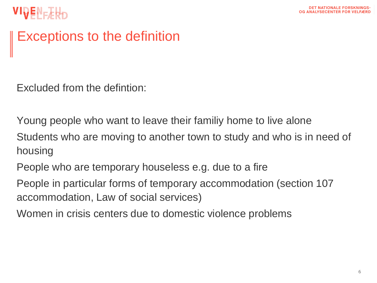### Exceptions to the definition

Excluded from the defintion:

Young people who want to leave their familiy home to live alone Students who are moving to another town to study and who is in need of housing

People who are temporary houseless e.g. due to a fire

People in particular forms of temporary accommodation (section 107 accommodation, Law of social services)

Women in crisis centers due to domestic violence problems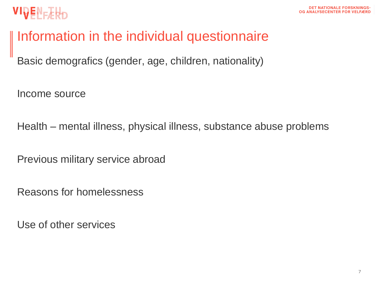

#### Information in the individual questionnaire

Basic demografics (gender, age, children, nationality)

Income source

Health – mental illness, physical illness, substance abuse problems

Previous military service abroad

Reasons for homelessness

Use of other services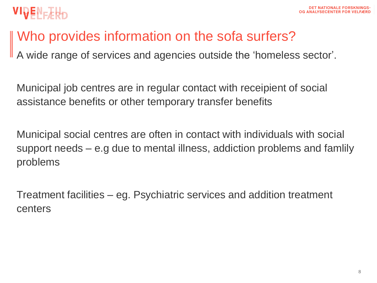# Who provides information on the sofa surfers?

A wide range of services and agencies outside the 'homeless sector'.

Municipal job centres are in regular contact with receipient of social assistance benefits or other temporary transfer benefits

Municipal social centres are often in contact with individuals with social support needs – e.g due to mental illness, addiction problems and famlily problems

Treatment facilities – eg. Psychiatric services and addition treatment centers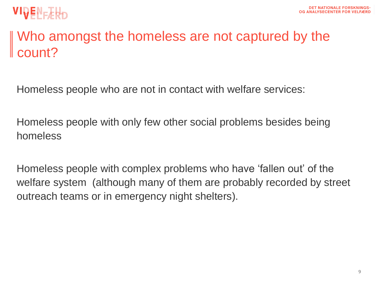

### Who amongst the homeless are not captured by the count?

Homeless people who are not in contact with welfare services:

Homeless people with only few other social problems besides being homeless

Homeless people with complex problems who have 'fallen out' of the welfare system (although many of them are probably recorded by street outreach teams or in emergency night shelters).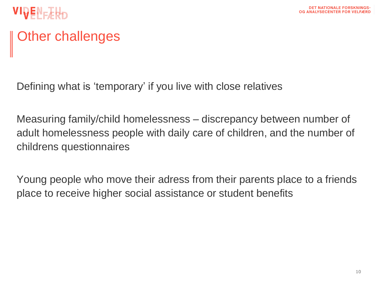

# Other challenges

Defining what is 'temporary' if you live with close relatives

Measuring family/child homelessness – discrepancy between number of adult homelessness people with daily care of children, and the number of childrens questionnaires

Young people who move their adress from their parents place to a friends place to receive higher social assistance or student benefits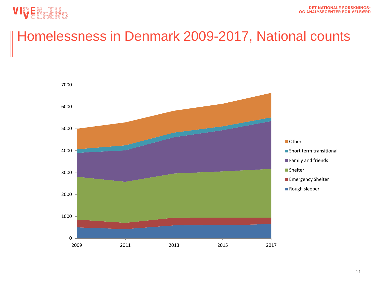# VIVENERHO

### Homelessness in Denmark 2009-2017, National counts